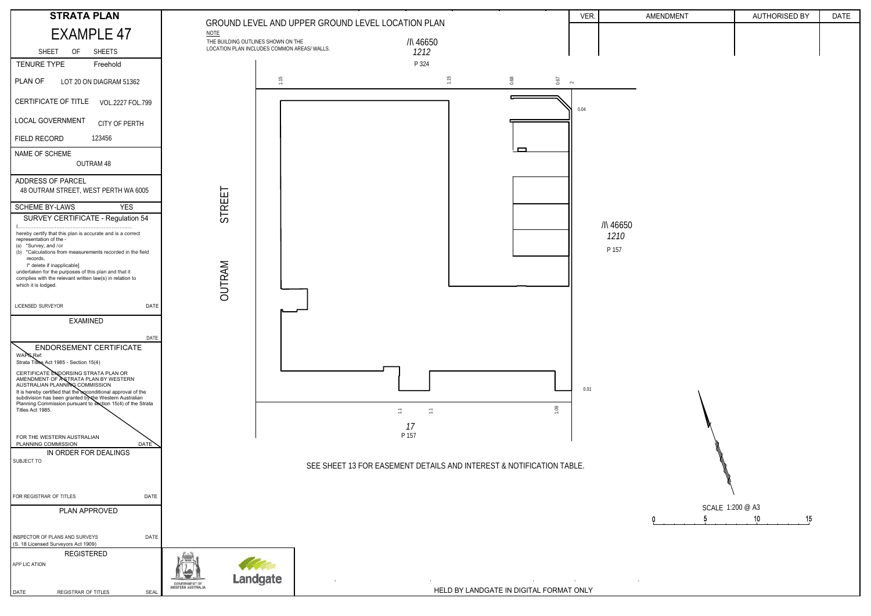

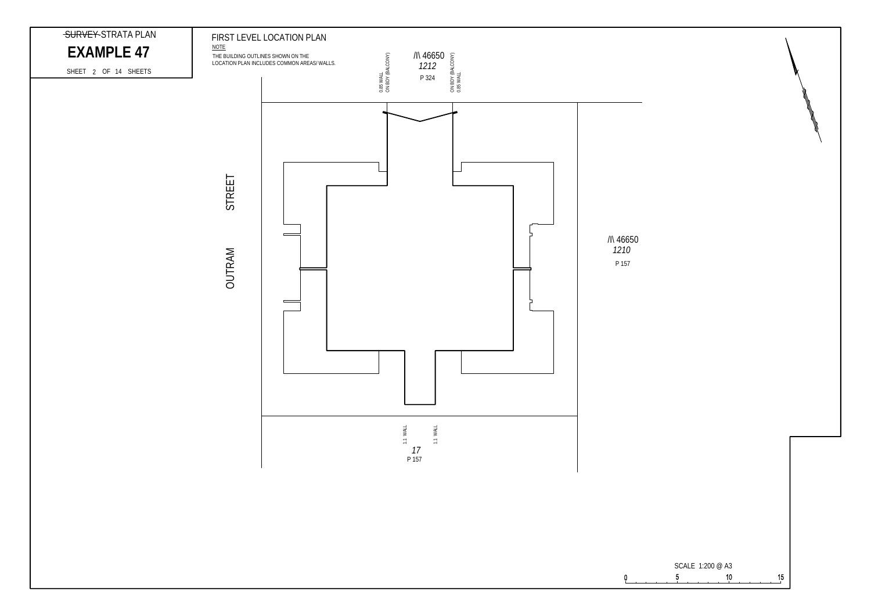

 $\mathbf 0$ 

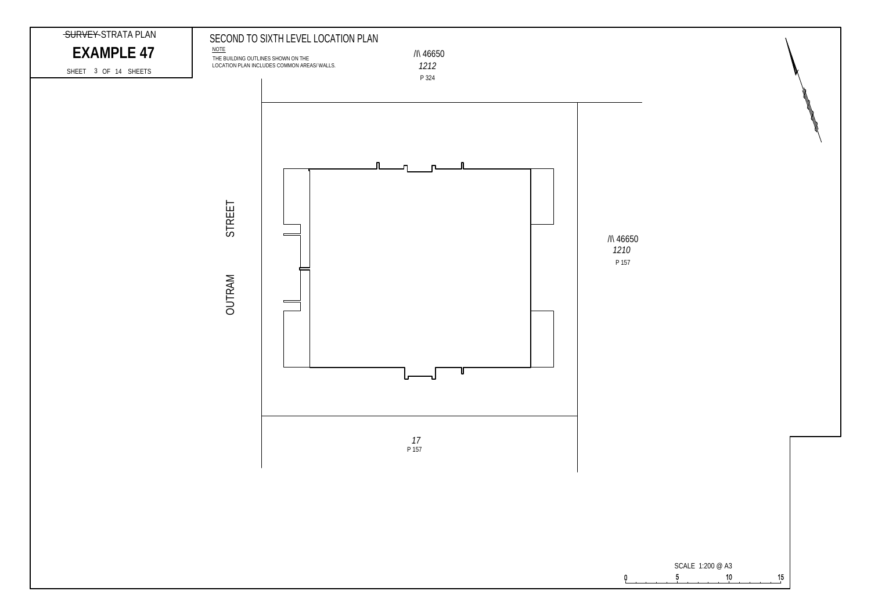

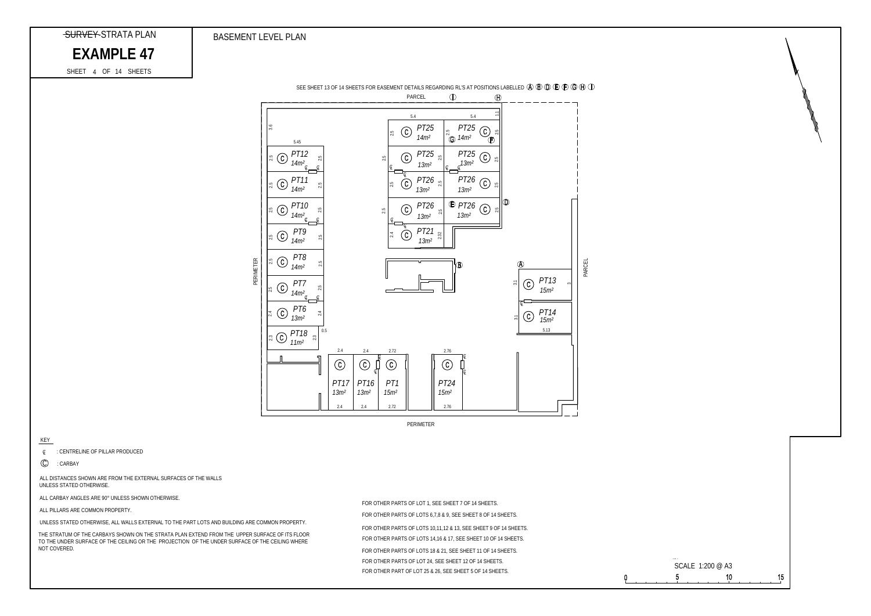#### KEY

*Q* : CENTRELINE OF PILLAR PRODUCED

C : CARBAY

FOR OTHER PARTS OF LOTS 6,7,8 & 9, SEE SHEET 8 OF 14 SHEETS. FOR OTHER PARTS OF LOT 1, SEE SHEET 7 OF 14 SHEETS.

THE STRATUM OF THE CARBAYS SHOWN ON THE STRATA PLAN EXTEND FROM THE UPPER SURFACE OF ITS FLOOR TO THE UNDER SURFACE OF THE CEILING OR THE PROJECTION OF THE UNDER SURFACE OF THE CEILING WHERE NOT COVERED.

ALL CARBAY ANGLES ARE 90° UNLESS SHOWN OTHERWISE.

ALL DISTANCES SHOWN ARE FROM THE EXTERNAL SURFACES OF THE WALLS UNLESS STATED OTHERWISE.



BASEMENT LEVEL PLAN

## SURVEY-STRATA PLAN

## EXAMPLE 47

ALL PILLARS ARE COMMON PROPERTY.

FOR OTHER PARTS OF LOTS 14,16 & 17, SEE SHEET 10 OF 14 SHEETS. FOR OTHER PARTS OF LOTS 10,11,12 & 13, SEE SHEET 9 OF 14 SHEETS. FOR OTHER PARTS OF LOT 24, SEE SHEET 12 OF 14 SHEETS. FOR OTHER PARTS OF LOTS 18 & 21, SEE SHEET 11 OF 14 SHEETS. FOR OTHER PART OF LOT 25 & 26, SEE SHEET 5 OF 14 SHEETS.

UNLESS STATED OTHERWISE, ALL WALLS EXTERNAL TO THE PART LOTS AND BUILDING ARE COMMON PROPERTY.

4 SHEET OF 14 SHEETS



PERIMETER

SEE SHEET 13 OF 14 SHEETS FOR EASEMENT DETAILS REGARDING RL'S AT POSITIONS LABELLED  $\textcircled{4} \textcircled{9} \textcircled{1} \textcircled{2} \textcircled{1} \textcircled{3} \textcircled{4} \textcircled{1}$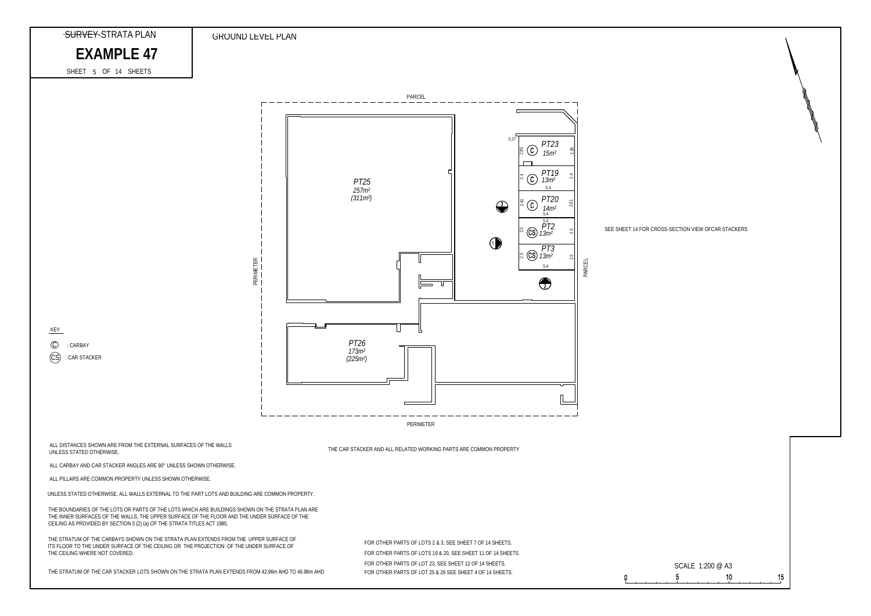



### SEE SHEET 14 FOR CROSS-SECTION VIEW OFCAR STACKERS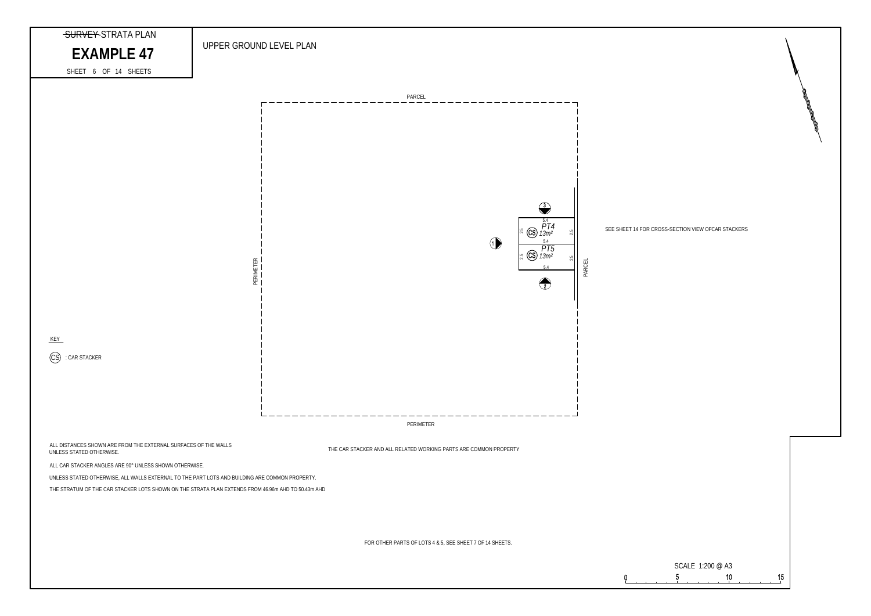

### SEE SHEET 14 FOR CROSS-SECTION VIEW OFCAR STACKERS

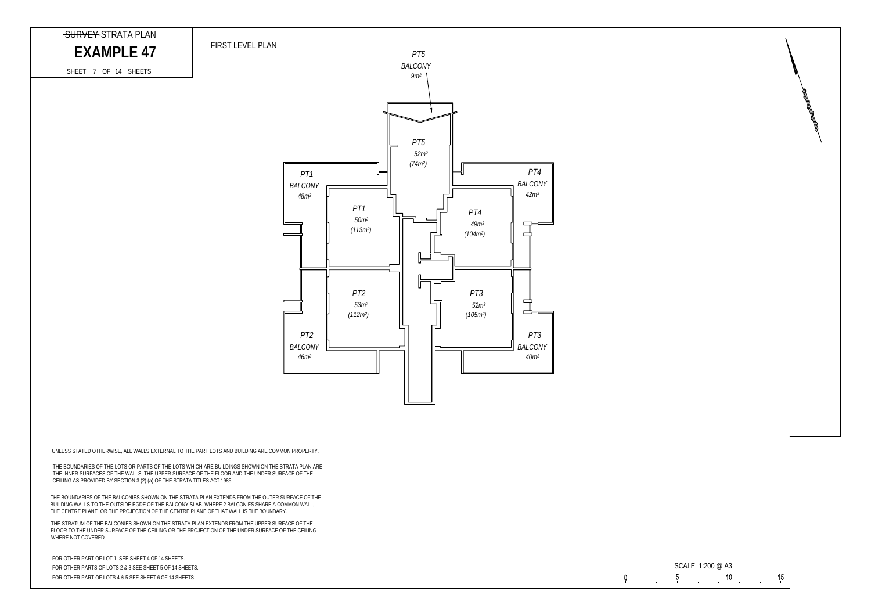# EXAMPLE 47 PIRST LEVEL PLAN

### *PT5 BALCONY 9m² PT5 52m² (74m²) PT4 PT1 BALCONY BALCONY 42m² 48m² PT1 PT4 50m² 49m² (113m²)*  $\Rightarrow$ *(104m²) PT2 PT3*  $\equiv$  $\overline{\phantom{a}}$ *53m² 52m²* ▅ *(112m²) (105m²) PT2 PT3 BALCONY BALCONY 46m² 40m²*



 $\Omega$ 

7 SHEET OF 14 SHEETS

SURVEY-STRATA PLAN

THE BOUNDARIES OF THE BALCONIES SHOWN ON THE STRATA PLAN EXTENDS FROM THE OUTER SURFACE OF THE BUILDING WALLS TO THE OUTSIDE EGDE OF THE BALCONY SLAB. WHERE 2 BALCONIES SHARE A COMMON WALL, THE CENTRE PLANE OR THE PROJECTION OF THE CENTRE PLANE OF THAT WALL IS THE BOUNDARY.

FOR OTHER PARTS OF LOTS 2 & 3 SEE SHEET 5 OF 14 SHEETS. FOR OTHER PART OF LOT 1, SEE SHEET 4 OF 14 SHEETS. FOR OTHER PART OF LOTS 4 & 5 SEE SHEET 6 OF 14 SHEETS.

THE STRATUM OF THE BALCONIES SHOWN ON THE STRATA PLAN EXTENDS FROM THE UPPER SURFACE OF THE FLOOR TO THE UNDER SURFACE OF THE CEILING OR THE PROJECTION OF THE UNDER SURFACE OF THE CEILING WHERE NOT COVERED

UNLESS STATED OTHERWISE, ALL WALLS EXTERNAL TO THE PART LOTS AND BUILDING ARE COMMON PROPERTY.

THE BOUNDARIES OF THE LOTS OR PARTS OF THE LOTS WHICH ARE BUILDINGS SHOWN ON THE STRATA PLAN ARE THE INNER SURFACES OF THE WALLS, THE UPPER SURFACE OF THE FLOOR AND THE UNDER SURFACE OF THE CEILING AS PROVIDED BY SECTION 3 (2) (a) OF THE STRATA TITLES ACT 1985.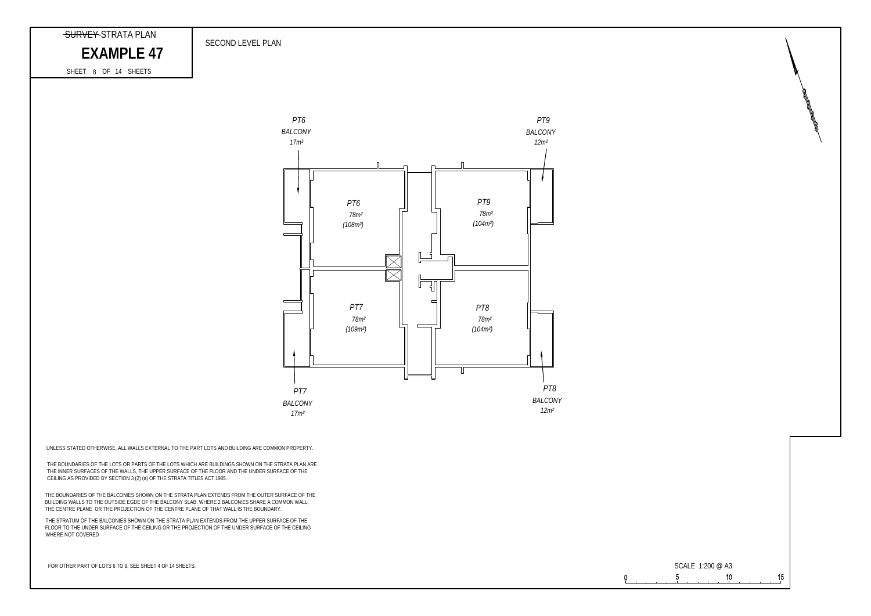FOR OTHER PART OF LOTS 6 TO 9, SEE SHEET 4 OF 14 SHEETS.

 $\Omega$ 





THE BOUNDARIES OF THE BALCONIES SHOWN ON THE STRATA PLAN EXTENDS FROM THE OUTER SURFACE OF THE BUILDING WALLS TO THE OUTSIDE EGDE OF THE BALCONY SLAB. WHERE 2 BALCONIES SHARE A COMMON WALL, THE CENTRE PLANE OR THE PROJECTION OF THE CENTRE PLANE OF THAT WALL IS THE BOUNDARY.

THE STRATUM OF THE BALCONIES SHOWN ON THE STRATA PLAN EXTENDS FROM THE UPPER SURFACE OF THE FLOOR TO THE UNDER SURFACE OF THE CEILING OR THE PROJECTION OF THE UNDER SURFACE OF THE CEILING WHERE NOT COVERED

UNLESS STATED OTHERWISE, ALL WALLS EXTERNAL TO THE PART LOTS AND BUILDING ARE COMMON PROPERTY.

THE BOUNDARIES OF THE LOTS OR PARTS OF THE LOTS WHICH ARE BUILDINGS SHOWN ON THE STRATA PLAN ARE THE INNER SURFACES OF THE WALLS, THE UPPER SURFACE OF THE FLOOR AND THE UNDER SURFACE OF THE CEILING AS PROVIDED BY SECTION 3 (2) (a) OF THE STRATA TITLES ACT 1985.

### SECOND LEVEL PLAN

## SURVEY-STRATA PLAN

EXAMPLE 47

SHEET 8 OF 14 SHEETS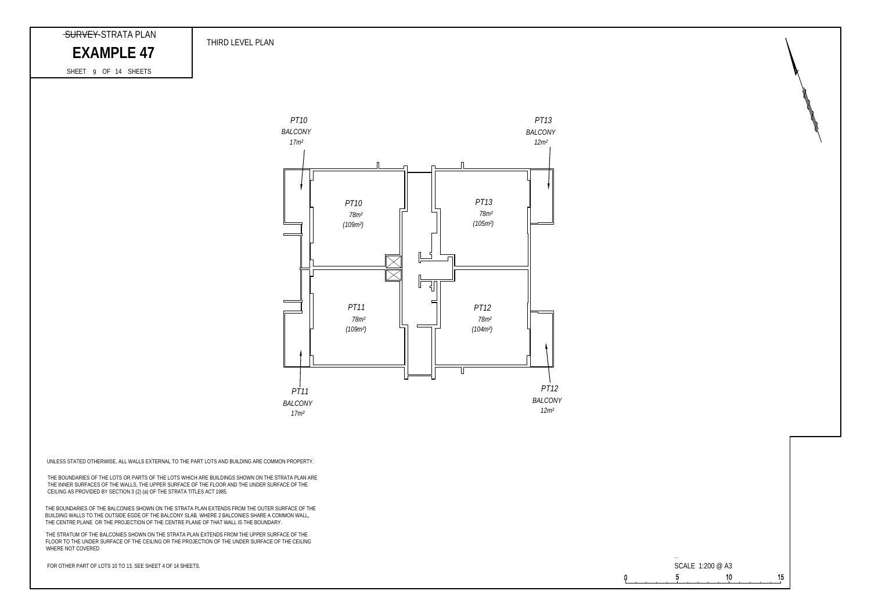SHEET 9 OF 14 SHEETS

EXAMPLE 47

FOR OTHER PART OF LOTS 10 TO 13, SEE SHEET 4 OF 14 SHEETS.





THE BOUNDARIES OF THE BALCONIES SHOWN ON THE STRATA PLAN EXTENDS FROM THE OUTER SURFACE OF THE BUILDING WALLS TO THE OUTSIDE EGDE OF THE BALCONY SLAB. WHERE 2 BALCONIES SHARE A COMMON WALL, THE CENTRE PLANE OR THE PROJECTION OF THE CENTRE PLANE OF THAT WALL IS THE BOUNDARY.

THE STRATUM OF THE BALCONIES SHOWN ON THE STRATA PLAN EXTENDS FROM THE UPPER SURFACE OF THE FLOOR TO THE UNDER SURFACE OF THE CEILING OR THE PROJECTION OF THE UNDER SURFACE OF THE CEILING WHERE NOT COVERED

UNLESS STATED OTHERWISE, ALL WALLS EXTERNAL TO THE PART LOTS AND BUILDING ARE COMMON PROPERTY.

THE BOUNDARIES OF THE LOTS OR PARTS OF THE LOTS WHICH ARE BUILDINGS SHOWN ON THE STRATA PLAN ARE THE INNER SURFACES OF THE WALLS, THE UPPER SURFACE OF THE FLOOR AND THE UNDER SURFACE OF THE CEILING AS PROVIDED BY SECTION 3 (2) (a) OF THE STRATA TITLES ACT 1985.

THIRD LEVEL PLAN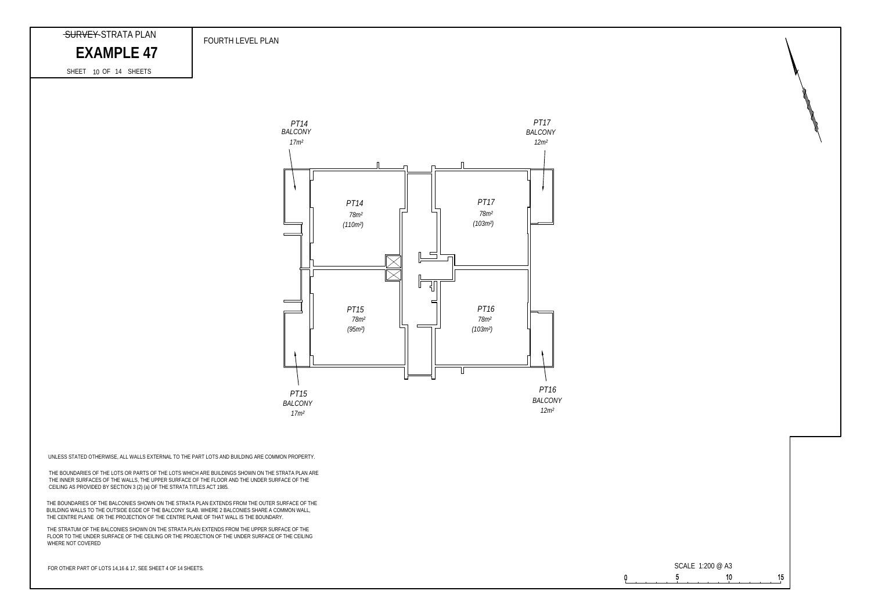EXAMPLE 47





FOR OTHER PART OF LOTS 14,16 & 17, SEE SHEET 4 OF 14 SHEETS.

 $\Omega$ 

THE BOUNDARIES OF THE BALCONIES SHOWN ON THE STRATA PLAN EXTENDS FROM THE OUTER SURFACE OF THE BUILDING WALLS TO THE OUTSIDE EGDE OF THE BALCONY SLAB. WHERE 2 BALCONIES SHARE A COMMON WALL, THE CENTRE PLANE OR THE PROJECTION OF THE CENTRE PLANE OF THAT WALL IS THE BOUNDARY.

THE STRATUM OF THE BALCONIES SHOWN ON THE STRATA PLAN EXTENDS FROM THE UPPER SURFACE OF THE FLOOR TO THE UNDER SURFACE OF THE CEILING OR THE PROJECTION OF THE UNDER SURFACE OF THE CEILING WHERE NOT COVERED

UNLESS STATED OTHERWISE, ALL WALLS EXTERNAL TO THE PART LOTS AND BUILDING ARE COMMON PROPERTY.

THE BOUNDARIES OF THE LOTS OR PARTS OF THE LOTS WHICH ARE BUILDINGS SHOWN ON THE STRATA PLAN ARE THE BOOKBAKING OF THE LOTD CHANNING OF THE EDITO MIKRONING BOILBANDS ON THE UNDER SURFACE OF THE THE THE UNDER SURFACE OF THE CEILING AS PROVIDED BY SECTION 3 (2) (a) OF THE STRATA TITLES ACT 1985.

FOURTH LEVEL PLAN

#### SHEET 10 OF 14 SHEETS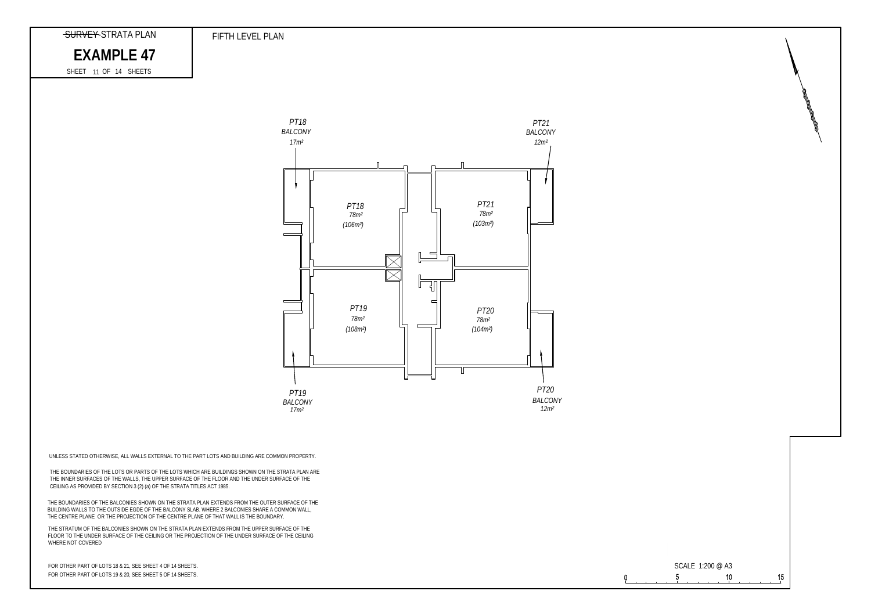# EXAMPLE 47



FOR OTHER PART OF LOTS 18 & 21, SEE SHEET 4 OF 14 SHEETS. FOR OTHER PART OF LOTS 19 & 20, SEE SHEET 5 OF 14 SHEETS.

 $\Omega$ 



FIFTH LEVEL PLAN

11 SHEET OF 14 SHEETS

THE BOUNDARIES OF THE BALCONIES SHOWN ON THE STRATA PLAN EXTENDS FROM THE OUTER SURFACE OF THE BUILDING WALLS TO THE OUTSIDE EGDE OF THE BALCONY SLAB. WHERE 2 BALCONIES SHARE A COMMON WALL, THE CENTRE PLANE OR THE PROJECTION OF THE CENTRE PLANE OF THAT WALL IS THE BOUNDARY.

THE STRATUM OF THE BALCONIES SHOWN ON THE STRATA PLAN EXTENDS FROM THE UPPER SURFACE OF THE FLOOR TO THE UNDER SURFACE OF THE CEILING OR THE PROJECTION OF THE UNDER SURFACE OF THE CEILING WHERE NOT COVERED

UNLESS STATED OTHERWISE, ALL WALLS EXTERNAL TO THE PART LOTS AND BUILDING ARE COMMON PROPERTY.

THE BOUNDARIES OF THE LOTS OR PARTS OF THE LOTS WHICH ARE BUILDINGS SHOWN ON THE STRATA PLAN ARE THE INNER SURFACES OF THE WALLS, THE UPPER SURFACE OF THE FLOOR AND THE UNDER SURFACE OF THE CEILING AS PROVIDED BY SECTION 3 (2) (a) OF THE STRATA TITLES ACT 1985.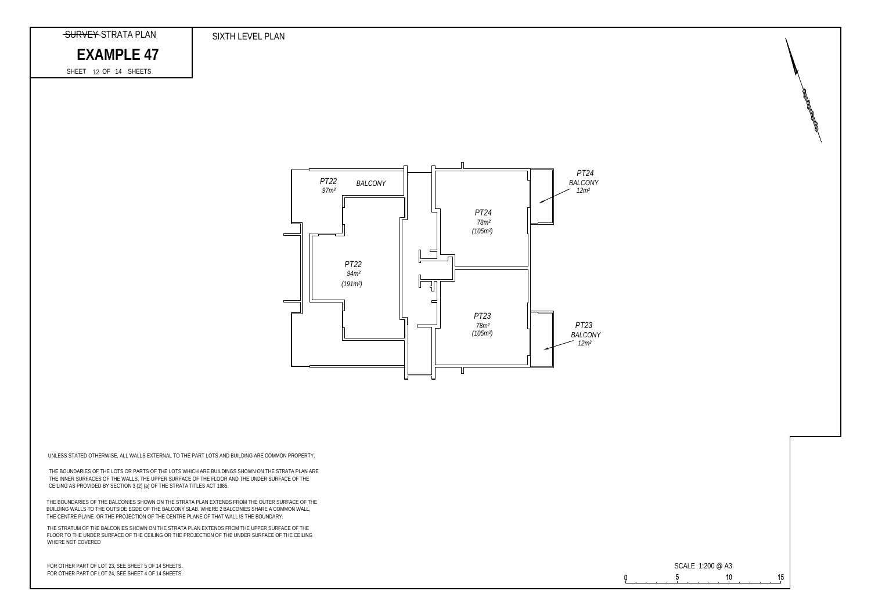

FOR OTHER PART OF LOT 23, SEE SHEET 5 OF 14 SHEETS. FOR OTHER PART OF LOT 24, SEE SHEET 4 OF 14 SHEETS.



SIXTH LEVEL PLAN

### SURVEY-STRATA PLAN

## EXAMPLE 47

12 SHEET OF 14 SHEETS

THE BOUNDARIES OF THE BALCONIES SHOWN ON THE STRATA PLAN EXTENDS FROM THE OUTER SURFACE OF THE BUILDING WALLS TO THE OUTSIDE EGDE OF THE BALCONY SLAB. WHERE 2 BALCONIES SHARE A COMMON WALL, THE CENTRE PLANE OR THE PROJECTION OF THE CENTRE PLANE OF THAT WALL IS THE BOUNDARY.

THE STRATUM OF THE BALCONIES SHOWN ON THE STRATA PLAN EXTENDS FROM THE UPPER SURFACE OF THE FLOOR TO THE UNDER SURFACE OF THE CEILING OR THE PROJECTION OF THE UNDER SURFACE OF THE CEILING WHERE NOT COVERED

UNLESS STATED OTHERWISE, ALL WALLS EXTERNAL TO THE PART LOTS AND BUILDING ARE COMMON PROPERTY.

THE BOUNDARIES OF THE LOTS OR PARTS OF THE LOTS WHICH ARE BUILDINGS SHOWN ON THE STRATA PLAN ARE THE INNER SURFACES OF THE WALLS, THE UPPER SURFACE OF THE FLOOR AND THE UNDER SURFACE OF THE CEILING AS PROVIDED BY SECTION 3 (2) (a) OF THE STRATA TITLES ACT 1985.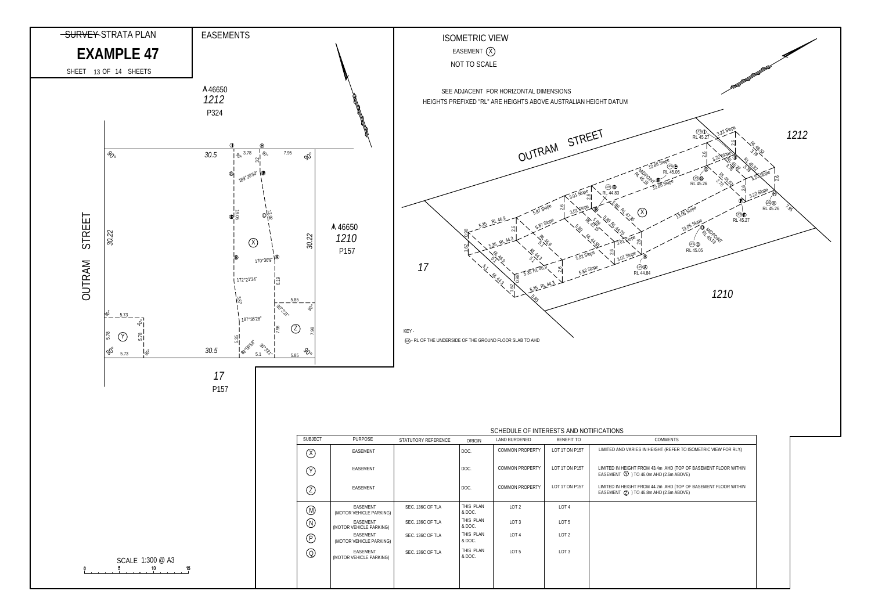

| <b>OMMENTS</b>                                          |  |
|---------------------------------------------------------|--|
| HT (REFER TO ISOMETRIC VIEW FOR RL'S)                   |  |
| Im AHD (TOP OF BASEMENT FLOOR WITHIN<br>ID (2.6m ABOVE) |  |
| 2m AHD (TOP OF BASEMENT FLOOR WITHIN<br>ID (2.6m ABOVE) |  |
|                                                         |  |
|                                                         |  |
|                                                         |  |
|                                                         |  |
|                                                         |  |